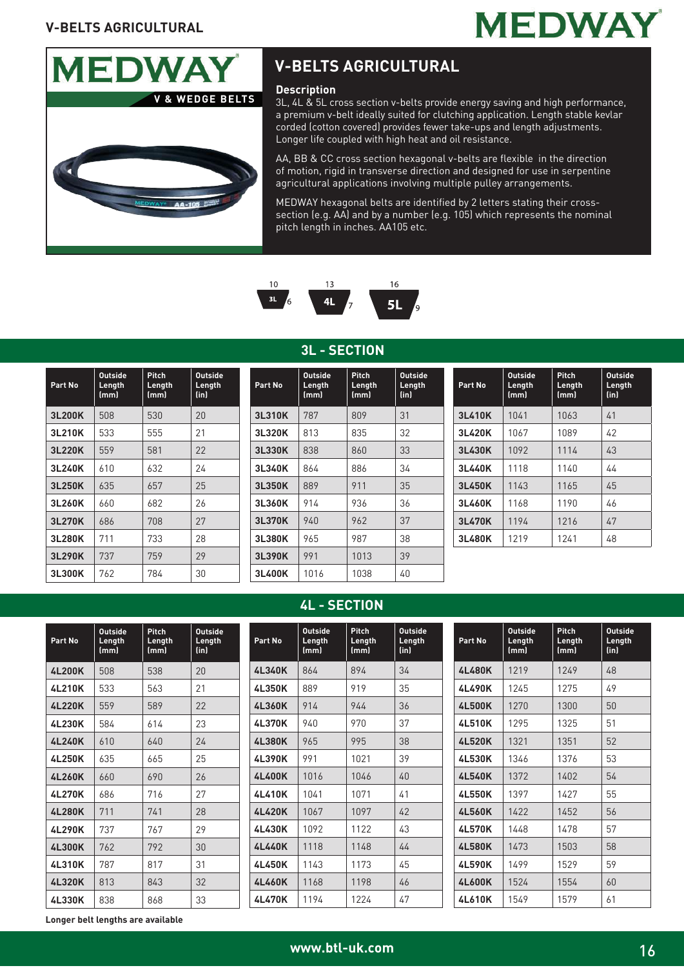



## **V-BELTS AGRICULTURAL**

#### **Description**

3L, 4L & 5L cross section v-belts provide energy saving and high performance, a premium v-belt ideally suited for clutching application. Length stable kevlar corded (cotton covered) provides fewer take-ups and length adjustments. Longer life coupled with high heat and oil resistance.

AA, BB & CC cross section hexagonal v-belts are flexible in the direction of motion, rigid in transverse direction and designed for use in serpentine agricultural applications involving multiple pulley arrangements.

MEDWAY hexagonal belts are identified by 2 letters stating their crosssection (e.g. AA) and by a number (e.g. 105) which represents the nominal pitch length in inches. AA105 etc.



#### **3L - SECTION**

| Part No       | <b>Outside</b><br>Length<br>(mm) | Pitch<br>Length<br>(mm) | <b>Outside</b><br>Length<br>(in) |
|---------------|----------------------------------|-------------------------|----------------------------------|
| 3L200K        | 508                              | 530                     | 20                               |
| 3L210K        | 533                              | 555                     | 21                               |
| 3L220K        | 559                              | 581                     | 22                               |
| 3L240K        | 610                              | 632                     | 24                               |
| 3L250K        | 635                              | 657                     | 25                               |
| 3L260K        | 660                              | 682                     | 26                               |
| 3L270K        | 686                              | 708                     | 27                               |
| 3L280K        | 711                              | 733                     | 28                               |
| 3L290K        | 737                              | 759                     | 29                               |
| <b>3L300K</b> | 762                              | 784                     | 30                               |

| Part No | <b>Outside</b><br>Length<br>[mm] | Pitch<br>Length<br>(mm) | <b>Outside</b><br>Length<br>(in) |
|---------|----------------------------------|-------------------------|----------------------------------|
| 3L310K  | 787                              | 809                     | 31                               |
| 3L320K  | 813                              | 835                     | 32                               |
| 3L330K  | 838                              | 860                     | 33                               |
| 3L340K  | 864                              | 886                     | 34                               |
| 3L350K  | 889                              | 911                     | 35                               |
| 3L360K  | 914                              | 936                     | 36                               |
| 3L370K  | 940                              | 962                     | 37                               |
| 3L380K  | 965                              | 987                     | 38                               |
| 3L390K  | 991                              | 1013                    | 39                               |
| 3L400K  | 1016                             | 1038                    | 40                               |

#### **Part No Outside Length (mm) Pitch Length (mm) Outside Length (in) 3L410K** 1041 1063 41 **3L420K** 1067 1089 42 **3L430K** 1092 1114 43 **3L440K** 1118 1140 44 **3L450K** 1143 1165 45 **3L460K** 1168 1190 46 **3L470K** 1194 1216 47 **3L480K** 1219 1241 48

#### **4L - SECTION**

| Part No       | <b>Outside</b><br>Length<br>(mm) | <b>Pitch</b><br>Lenath<br>(mm) | <b>Outside</b><br>Length<br>(in) | Part No       | <b>Outside</b><br>Length<br>(mm) | <b>Pitch</b><br>Lenath<br>(mm) | <b>Outside</b><br>Length<br>(in) | Part No       | <b>Outside</b><br>Length<br>(mm) | Pitch<br>Leng<br>(mm) |
|---------------|----------------------------------|--------------------------------|----------------------------------|---------------|----------------------------------|--------------------------------|----------------------------------|---------------|----------------------------------|-----------------------|
| 4L200K        | 508                              | 538                            | 20                               | 4L340K        | 864                              | 894                            | 34                               | 4L480K        | 1219                             | 1249                  |
| 4L210K        | 533                              | 563                            | 21                               | 4L350K        | 889                              | 919                            | 35                               | 4L490K        | 1245                             | 1275                  |
| 4L220K        | 559                              | 589                            | 22                               | 4L360K        | 914                              | 944                            | 36                               | <b>4L500K</b> | 1270                             | 1300                  |
| 4L230K        | 584                              | 614                            | 23                               | 4L370K        | 940                              | 970                            | 37                               | 4L510K        | 1295                             | 1325                  |
| 4L240K        | 610                              | 640                            | 24                               | <b>4L380K</b> | 965                              | 995                            | 38                               | <b>4L520K</b> | 1321                             | 1351                  |
| 4L250K        | 635                              | 665                            | 25                               | 4L390K        | 991                              | 1021                           | 39                               | 4L530K        | 1346                             | 1376                  |
| 4L260K        | 660                              | 690                            | 26                               | 4L400K        | 1016                             | 1046                           | 40                               | 4L540K        | 1372                             | 1402                  |
| 4L270K        | 686                              | 716                            | 27                               | 4L410K        | 1041                             | 1071                           | 41                               | 4L550K        | 1397                             | 1427                  |
| 4L280K        | 711                              | 741                            | 28                               | 4L420K        | 1067                             | 1097                           | 42                               | 4L560K        | 1422                             | 1452                  |
| 4L290K        | 737                              | 767                            | 29                               | 4L430K        | 1092                             | 1122                           | 43                               | 4L570K        | 1448                             | 1478                  |
| <b>4L300K</b> | 762                              | 792                            | 30                               | 4L440K        | 1118                             | 1148                           | 44                               | <b>4L580K</b> | 1473                             | 1503                  |
| 4L310K        | 787                              | 817                            | 31                               | 4L450K        | 1143                             | 1173                           | 45                               | 4L590K        | 1499                             | 1529                  |
| 4L320K        | 813                              | 843                            | 32                               | 4L460K        | 1168                             | 1198                           | 46                               | 4L600K        | 1524                             | 1554                  |
| 4L330K        | 838                              | 868                            | 33                               | 4L470K        | 1194                             | 1224                           | 47                               | 4L610K        | 1549                             | 1579                  |

**Length (mm) Outside Length (in) 4L480K** 1219 1249 48 **4L490K** 1245 1275 49 **4L500K** | 1270 | 1300 | 50 **4L510K** | 1295 | 1325 | 51 **4L520K** 1321 1351 52 **4L530K** 1346 1376 53 **4L540K** 1372 1402 54 **4L550K** 1397 1427 55 **4L560K** 1422 1452 56 **4L570K** 1448 1478 57 **4L580K** 1473 1503 58 **4L590K** 1499 1529 59 **4L600K** | 1524 | 1554 | 60 **4L610K** | 1549 | 1579 | 61

**Longer belt lengths are available**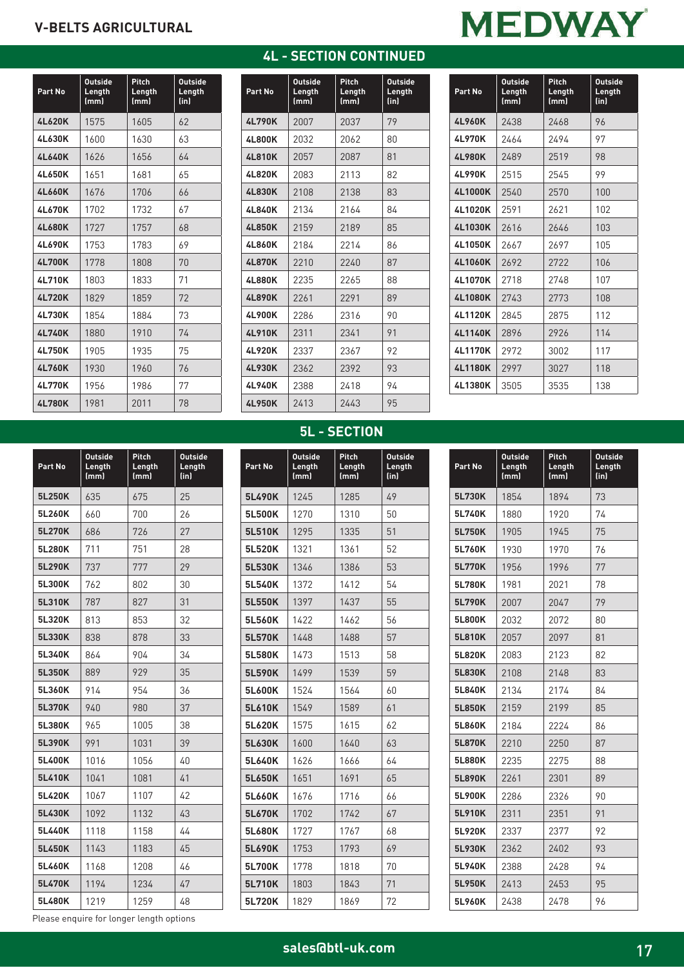### **V-BELTS AGRICULTURAL**

| <b>4L - SECTION CONTINUED</b> |
|-------------------------------|
|-------------------------------|

|  | <b>MEDWAY</b> |
|--|---------------|
|  |               |

| Part No       | <b>Outside</b><br>Length<br>(mm) | Pitch<br>Length<br>(mm) | <b>Outside</b><br>Length<br>(in) |
|---------------|----------------------------------|-------------------------|----------------------------------|
| <b>4L620K</b> | 1575                             | 1605                    | 62                               |
| <b>4L630K</b> | 1600                             | 1630                    | 63                               |
| <b>4L640K</b> | 1626                             | 1656                    | 64                               |
| <b>4L650K</b> | 1651                             | 1681                    | 65                               |
| <b>4L660K</b> | 1676                             | 1706                    | 66                               |
| 4L670K        | 1702                             | 1732                    | 67                               |
| <b>4L680K</b> | 1727                             | 1757                    | 68                               |
| 4L690K        | 1753                             | 1783                    | 69                               |
| <b>4L700K</b> | 1778                             | 1808                    | 70                               |
| 4L710K        | 1803                             | 1833                    | 71                               |
| <b>4L720K</b> | 1829                             | 1859                    | 72                               |
| <b>4L730K</b> | 1854                             | 1884                    | 73                               |
| 4L740K        | 1880                             | 1910                    | 74                               |
| 4L750K        | 1905                             | 1935                    | 75                               |
| 4L760K        | 1930                             | 1960                    | 76                               |
| 4L770K        | 1956                             | 1986                    | 77                               |
| <b>4L780K</b> | 1981                             | 2011                    | 78                               |

**Part No**

**Outside Length (mm)**

**Pitch Length (mm)**

**Outside Length (in)**

| Part No       | <b>Outside</b><br>Length<br>(mm) | Pitch<br>Length<br>(mm) | <b>Outside</b><br>Length<br>(in) |
|---------------|----------------------------------|-------------------------|----------------------------------|
| <b>4L790K</b> | 2007                             | 2037                    | 79                               |
| 4L800K        | 2032                             | 2062                    | 80                               |
| <b>4L810K</b> | 2057                             | 2087                    | 81                               |
| 4L820K        | 2083                             | 2113                    | 82                               |
| 4L830K        | 2108                             | 2138                    | 83                               |
| <b>4L840K</b> | 2134                             | 2164                    | 84                               |
| 4L850K        | 2159                             | 2189                    | 85                               |
| <b>4L860K</b> | 2184                             | 2214                    | 86                               |
| <b>4L870K</b> | 2210                             | 2240                    | 87                               |
| <b>4L880K</b> | 2235                             | 2265                    | 88                               |
| 4L890K        | 2261                             | 2291                    | 89                               |
| 4L900K        | 2286                             | 2316                    | 90                               |
| 4L910K        | 2311                             | 2341                    | 91                               |
| 4L920K        | 2337                             | 2367                    | 92                               |
| 4L930K        | 2362                             | 2392                    | 93                               |
| 4L940K        | 2388                             | 2418                    | 94                               |
| 4L950K        | 2413                             | 2443                    | 95                               |

| Part No        | <b>Outside</b><br>Length | Pitch<br>Length | <b>Outside</b><br>Length |
|----------------|--------------------------|-----------------|--------------------------|
|                | (mm)                     | (mm)            | (in)                     |
| <b>4L960K</b>  | 2438                     | 2468            | 96                       |
| <b>4L970K</b>  | 2464                     | 2494            | 97                       |
| <b>4L980K</b>  | 2489                     | 2519            | 98                       |
| <b>4L990K</b>  | 2515                     | 2545            | 99                       |
| <b>4L1000K</b> | 2540                     | 2570            | 100                      |
| <b>4L1020K</b> | 2591                     | 2621            | 102                      |
| <b>4L1030K</b> | 2616                     | 2646            | 103                      |
| <b>4L1050K</b> | 2667                     | 2697            | 105                      |
| <b>4L1060K</b> | 2692                     | 2722            | 106                      |
| <b>4L1070K</b> | 2718                     | 2748            | 107                      |
| <b>4L1080K</b> | 2743                     | 2773            | 108                      |
| <b>4L1120K</b> | 2845                     | 2875            | 112                      |
| <b>4L1140K</b> | 2896                     | 2926            | 114                      |
| <b>4L1170K</b> | 2972                     | 3002            | 117                      |
| <b>4L1180K</b> | 2997                     | 3027            | 118                      |
| 4L1380K        | 3505                     | 3535            | 138                      |

| <b>5L - SECTION</b> |  |
|---------------------|--|
|                     |  |

| Part No | <b>Outside</b><br>Length<br>(mm) | Pitch<br>Length<br>(mm) | <b>Outside</b><br>Length<br>(in) |
|---------|----------------------------------|-------------------------|----------------------------------|
| 5L490K  | 1245                             | 1285                    | 49                               |
| 5L500K  | 1270                             | 1310                    | 50                               |
| 5L510K  | 1295                             | 1335                    | 51                               |
| 5L520K  | 1321                             | 1361                    | 52                               |
| 5L530K  | 1346                             | 1386                    | 53                               |
| 5L540K  | 1372                             | 1412                    | 54                               |
| 5L550K  | 1397                             | 1437                    | 55                               |
| 5L560K  | 1422                             | 1462                    | 56                               |
| 5L570K  | 1448                             | 1488                    | 57                               |
| 5L580K  | 1473                             | 1513                    | 58                               |
| 5L590K  | 1499                             | 1539                    | 59                               |
| 5L600K  | 1524                             | 1564                    | 60                               |
| 5L610K  | 1549                             | 1589                    | 61                               |
| 5L620K  | 1575                             | 1615                    | 62                               |
| 5L630K  | 1600                             | 1640                    | 63                               |
| 5L640K  | 1626                             | 1666                    | 64                               |
| 5L650K  | 1651                             | 1691                    | 65                               |
| 5L660K  | 1676                             | 1716                    | 66                               |
| 5L670K  | 1702                             | 1742                    | 67                               |
| 5L680K  | 1727                             | 1767                    | 68                               |
| 5L690K  | 1753                             | 1793                    | 69                               |
| 5L700K  | 1778                             | 1818                    | 70                               |
| 5L710K  | 1803                             | 1843                    | 71                               |
| 5L720K  | 1829                             | 1869                    | 72                               |

| Part No | <b>Outside</b><br>Length<br>(mm) | Pitch<br>Length<br>(mm) | <b>Outside</b><br>Length<br>(in) |
|---------|----------------------------------|-------------------------|----------------------------------|
| 5L730K  | 1854                             | 1894                    | 73                               |
| 5L740K  | 1880                             | 1920                    | 74                               |
| 5L750K  | 1905                             | 1945                    | 75                               |
| 5L760K  | 1930                             | 1970                    | 76                               |
| 5L770K  | 1956                             | 1996                    | 77                               |
| 5L780K  | 1981                             | 2021                    | 78                               |
| 5L790K  | 2007                             | 2047                    | 79                               |
| 5L800K  | 2032                             | 2072                    | 80                               |
| 5L810K  | 2057                             | 2097                    | 81                               |
| 5L820K  | 2083                             | 2123                    | 82                               |
| 5L830K  | 2108                             | 2148                    | 83                               |
| 5L840K  | 2134                             | 2174                    | 84                               |
| 5L850K  | 2159                             | 2199                    | 85                               |
| 5L860K  | 2184                             | 2224                    | 86                               |
| 5L870K  | 2210                             | 2250                    | 87                               |
| 5L880K  | 2235                             | 2275                    | 88                               |
| 5L890K  | 2261                             | 2301                    | 89                               |
| 5L900K  | 2286                             | 2326                    | 90                               |
| 5L910K  | 2311                             | 2351                    | 91                               |
| 5L920K  | 2337                             | 2377                    | 92                               |
| 5L930K  | 2362                             | 2402                    | 93                               |
| 5L940K  | 2388                             | 2428                    | 94                               |
| 5L950K  | 2413                             | 2453                    | 95                               |
| 5L960K  | 2438                             | 2478                    | 96                               |

**5L480K** 1219 1259 48 Please enquire for longer length options